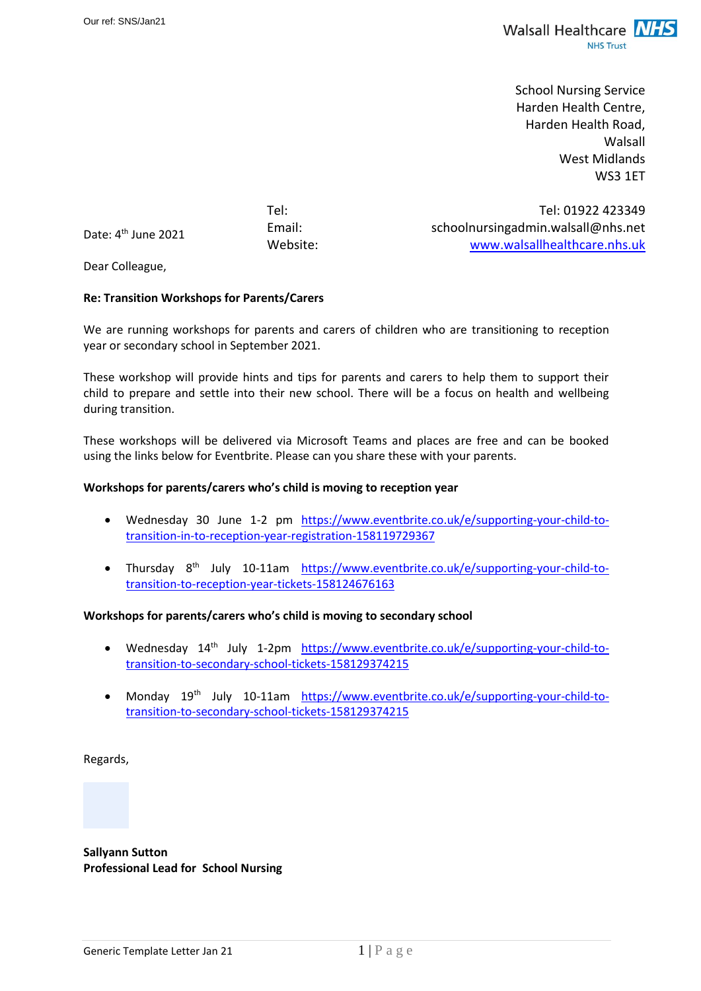

School Nursing Service Harden Health Centre, Harden Health Road, Walsall West Midlands WS3 1ET

Date: 4<sup>th</sup> June 2021

Tel: Tel: 01922 423349 Email: schoolnursingadmin.walsall@nhs.net Website: [www.walsallhealthcare.nhs.uk](http://www.walsallhealthcare.nhs.uk/)

Dear Colleague,

#### **Re: Transition Workshops for Parents/Carers**

We are running workshops for parents and carers of children who are transitioning to reception year or secondary school in September 2021.

These workshop will provide hints and tips for parents and carers to help them to support their child to prepare and settle into their new school. There will be a focus on health and wellbeing during transition.

These workshops will be delivered via Microsoft Teams and places are free and can be booked using the links below for Eventbrite. Please can you share these with your parents.

#### **Workshops for parents/carers who's child is moving to reception year**

- Wednesday 30 June 1-2 pm [https://www.eventbrite.co.uk/e/supporting-your-child-to](https://www.eventbrite.co.uk/e/supporting-your-child-to-transition-in-to-reception-year-registration-158119729367)[transition-in-to-reception-year-registration-158119729367](https://www.eventbrite.co.uk/e/supporting-your-child-to-transition-in-to-reception-year-registration-158119729367)
- Thursday 8<sup>th</sup> July 10-11am [https://www.eventbrite.co.uk/e/supporting-your-child-to](https://www.eventbrite.co.uk/e/supporting-your-child-to-transition-to-reception-year-tickets-158124676163)[transition-to-reception-year-tickets-158124676163](https://www.eventbrite.co.uk/e/supporting-your-child-to-transition-to-reception-year-tickets-158124676163)

# **Workshops for parents/carers who's child is moving to secondary school**

- Wednesday 14<sup>th</sup> July 1-2pm [https://www.eventbrite.co.uk/e/supporting-your-child-to](https://www.eventbrite.co.uk/e/supporting-your-child-to-transition-to-secondary-school-tickets-158129374215)[transition-to-secondary-school-tickets-158129374215](https://www.eventbrite.co.uk/e/supporting-your-child-to-transition-to-secondary-school-tickets-158129374215)
- Monday 19th July 10-11am [https://www.eventbrite.co.uk/e/supporting-your-child-to](https://www.eventbrite.co.uk/e/supporting-your-child-to-transition-to-secondary-school-tickets-158129374215)[transition-to-secondary-school-tickets-158129374215](https://www.eventbrite.co.uk/e/supporting-your-child-to-transition-to-secondary-school-tickets-158129374215)

Regards,

**Sallyann Sutton Professional Lead for School Nursing**